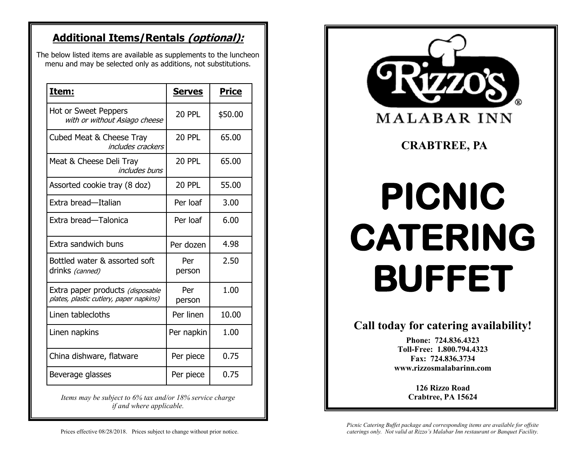## **Additional Items/Rentals (optional):**

The below listed items are available as supplements to the luncheon menu and may be selected only as additions, not substitutions.

| Item:                                                                       | <b>Serves</b> | <b>Price</b> |
|-----------------------------------------------------------------------------|---------------|--------------|
| Hot or Sweet Peppers<br>with or without Asiago cheese                       | <b>20 PPL</b> | \$50.00      |
| Cubed Meat & Cheese Tray<br><i>includes crackers</i>                        | <b>20 PPL</b> | 65.00        |
| Meat & Cheese Deli Tray<br><i>includes buns</i>                             | <b>20 PPL</b> | 65.00        |
| Assorted cookie tray (8 doz)                                                | <b>20 PPL</b> | 55.00        |
| Extra bread-Italian                                                         | Per loaf      | 3.00         |
| Extra bread-Talonica                                                        | Per loaf      | 6.00         |
| Extra sandwich buns                                                         | Per dozen     | 4.98         |
| Bottled water & assorted soft<br>drinks (canned)                            | Per<br>person | 2.50         |
| Extra paper products (disposable<br>plates, plastic cutlery, paper napkins) | Per<br>person | 1.00         |
| Linen tablecloths                                                           | Per linen     | 10.00        |
| Linen napkins                                                               | Per napkin    | 1.00         |
| China dishware, flatware                                                    | Per piece     | 0.75         |
| Beverage glasses                                                            | Per piece     | 0.75         |

*Items may be subject to 6% tax and/or 18% service charge if and where applicable.* 



*Picnic Catering Buffet package and corresponding items are available for offsite caterings only. Not valid at Rizzo's Malabar Inn restaurant or Banquet Facility.* 

**www.rizzosmalabarinn.com**

**126 Rizzo Road Crabtree, PA 15624**

Prices effective 08/28/2018. Prices subject to change without prior notice.